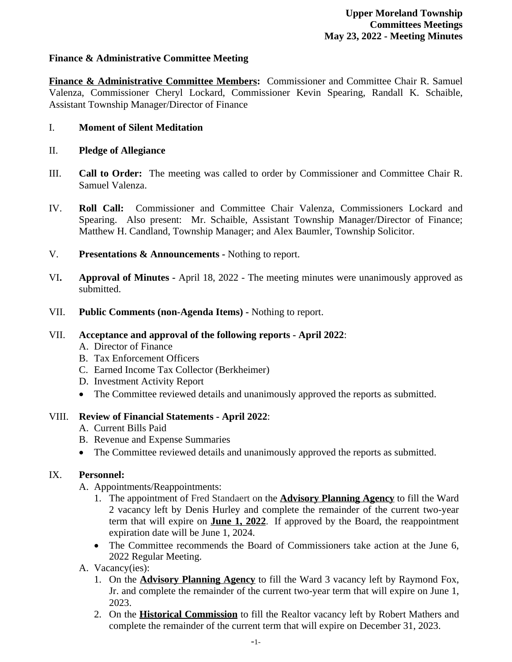## **Finance & Administrative Committee Meeting**

**Finance & Administrative Committee Members:** Commissioner and Committee Chair R. Samuel Valenza, Commissioner Cheryl Lockard, Commissioner Kevin Spearing, Randall K. Schaible, Assistant Township Manager/Director of Finance

### I. **Moment of Silent Meditation**

### II. **Pledge of Allegiance**

- III. **Call to Order:** The meeting was called to order by Commissioner and Committee Chair R. Samuel Valenza.
- IV. **Roll Call:** Commissioner and Committee Chair Valenza, Commissioners Lockard and Spearing. Also present: Mr. Schaible, Assistant Township Manager/Director of Finance; Matthew H. Candland, Township Manager; and Alex Baumler, Township Solicitor.
- V. **Presentations & Announcements** Nothing to report.
- VI**. Approval of Minutes -** April 18, 2022 The meeting minutes were unanimously approved as submitted.
- VII. **Public Comments (non-Agenda Items)** Nothing to report.

#### VII. **Acceptance and approval of the following reports - April 2022**:

- A. Director of Finance
- B. Tax Enforcement Officers
- C. Earned Income Tax Collector (Berkheimer)
- D. Investment Activity Report
- The Committee reviewed details and unanimously approved the reports as submitted.

#### VIII. **Review of Financial Statements - April 2022**:

- A. Current Bills Paid
- B. Revenue and Expense Summaries
- The Committee reviewed details and unanimously approved the reports as submitted.

#### IX. **Personnel:**

A. Appointments/Reappointments:

- 1. The appointment of Fred Standaert on the **Advisory Planning Agency** to fill the Ward 2 vacancy left by Denis Hurley and complete the remainder of the current two-year term that will expire on **June 1, 2022**. If approved by the Board, the reappointment expiration date will be June 1, 2024.
- The Committee recommends the Board of Commissioners take action at the June 6, 2022 Regular Meeting.
- A. Vacancy(ies):
	- 1. On the **Advisory Planning Agency** to fill the Ward 3 vacancy left by Raymond Fox, Jr. and complete the remainder of the current two-year term that will expire on June 1, 2023.
	- 2. On the **Historical Commission** to fill the Realtor vacancy left by Robert Mathers and complete the remainder of the current term that will expire on December 31, 2023.